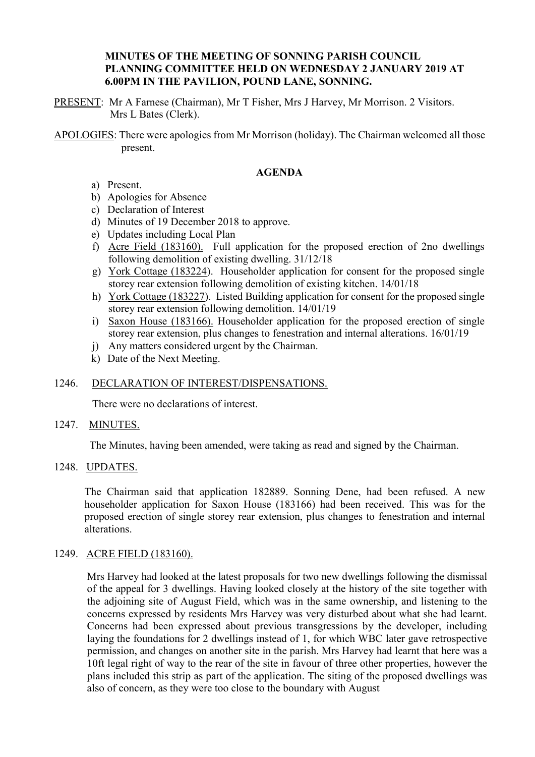# **MINUTES OF THE MEETING OF SONNING PARISH COUNCIL PLANNING COMMITTEE HELD ON WEDNESDAY 2 JANUARY 2019 AT 6.00PM IN THE PAVILION, POUND LANE, SONNING.**

PRESENT: Mr A Farnese (Chairman), Mr T Fisher, Mrs J Harvey, Mr Morrison. 2 Visitors. Mrs L Bates (Clerk).

APOLOGIES: There were apologies from Mr Morrison (holiday). The Chairman welcomed all those present.

## **AGENDA**

- a) Present.
- b) Apologies for Absence
- c) Declaration of Interest
- d) Minutes of 19 December 2018 to approve.
- e) Updates including Local Plan
- f) Acre Field (183160). Full application for the proposed erection of 2no dwellings following demolition of existing dwelling. 31/12/18
- g) York Cottage (183224). Householder application for consent for the proposed single storey rear extension following demolition of existing kitchen. 14/01/18
- h) York Cottage (183227). Listed Building application for consent for the proposed single storey rear extension following demolition. 14/01/19
- i) Saxon House (183166). Householder application for the proposed erection of single storey rear extension, plus changes to fenestration and internal alterations. 16/01/19
- j) Any matters considered urgent by the Chairman.
- k) Date of the Next Meeting.

# 1246. DECLARATION OF INTEREST/DISPENSATIONS.

There were no declarations of interest.

## 1247. MINUTES.

The Minutes, having been amended, were taking as read and signed by the Chairman.

#### 1248. UPDATES.

The Chairman said that application 182889. Sonning Dene, had been refused. A new householder application for Saxon House (183166) had been received. This was for the proposed erection of single storey rear extension, plus changes to fenestration and internal alterations.

#### 1249. ACRE FIELD (183160).

Mrs Harvey had looked at the latest proposals for two new dwellings following the dismissal of the appeal for 3 dwellings. Having looked closely at the history of the site together with the adjoining site of August Field, which was in the same ownership, and listening to the concerns expressed by residents Mrs Harvey was very disturbed about what she had learnt. Concerns had been expressed about previous transgressions by the developer, including laying the foundations for 2 dwellings instead of 1, for which WBC later gave retrospective permission, and changes on another site in the parish. Mrs Harvey had learnt that here was a 10ft legal right of way to the rear of the site in favour of three other properties, however the plans included this strip as part of the application. The siting of the proposed dwellings was also of concern, as they were too close to the boundary with August